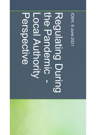#### Hepective the Pandemic -Regulating During Local Authority

IOSH, 9 June 2021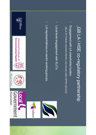

- Engagement with LA stakeholder bodies Engagement with LA stakeholder bodies HELA, PF, PHASS, SoCOEH, REHIS, LGA, WLGA, CIEH, DPPW, SOLACE HELA, PF, PHASS, SoCOEH, REHIS, LGA, WLGA, CIEH, DPPW, SOLACE
- Local level engagement with ELO's Local level engagement with ELO's
- LA representatives on sector working groups LA representatives on sector working groups





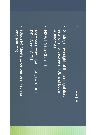#### HELA

- Strategic oversight of the co-regulatory Authorities relationship between HSE and Local Authorities relationship between HSE and Local Strategic oversight of the co-regulatory
- HSE/LA Co-Chaired HSE/ LA Co-Chaired
- Members from LGA, HSE, LA's, BEIS, **REHIS and CIEH** REHIS and CIEH Members from LGA, HSE, LA's, BEIS,
- (Vsually) Meets twice per year (spring and autumn) and autumn) (Usually) Meets twice per year (spring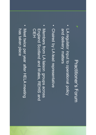### Practitioner's Forum Practitioner's Forum

- and delivery matters LA regulator input to operational policy and delivery matters LA regulator input to operational policy
- · Chaired by LA lead representative Chaired by LA lead representative
- Members from LA liaison groups across CIEH England Scotland and Wales, REHIS and England Scotland and Wales, REHIS and Members from LA liaison groups across
- Meet twice per year after HELA meeting has taken place has taken place Meet twice per year after HELA meeting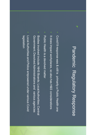## **Pandemic Regulatory Response** Pandemic Regulatory Response

- **Covid19 response was & still is primarily a Public Health one** Covid19 response was & still is primarily a Public Health one
- It does impact workplaces, so also has H&S considerations It does impact workplaces, so also has H&S considerations
- Public Health is a devolved matter Public Health is a devolved matter
- Bodies involved include: NHS Boards; Local Authorities; Central Government; Devolved Administrations and various agencies Government; Devolved Administrations and various agencies Bodies involved include: NHS Boards; Local Authorities; Central
- Local Authorities and Police empowered under various Covid legislation Local Authorities and Police empowered under various Covid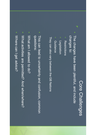#### Core Challenges Core Challenges

▪ The changes have been plentiful, and include changes to: changes to: The changes have been plentiful, and include

z

- Restrictions Restrictions
- Legislation Legislation
- **Guidance** Guidance

They can also vary between the GB Nations They can also vary between the GB Nations

This can lead to uncertainty and confusion, common questions: This can lead to uncertainty and confusion, common

▪

- What am I allowed to do? What am I allowed to do?
- What activities are permitted? And when/where? What activities are permitted? And when/where?

▪

Mhere can I get advice? Where can I get advice?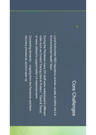#### Core Challenges Core Challenges

z

- **Local Authorities H&S regulatory actives usually sit within the LA** Environmental Health Team. Local Authorities H&S regulatory actives usually sit within the LA Environmental Health Team.
- **During the Pandemic many EH staff were redeployed in different** or were utilised to support wider LA response work roles such as Contact Tracing (Test & Protect / Track & Trace) or were utilised to support wider LA response work roles such as Contact Tracing (Test & Protect / Track & Trace) During the Pandemic many EH staff were redeployed in different
- Competing demands ongoing from the Pandemic and from recovery process as sectors open up recovery process as sectors open upCompeting demands ongoing from the Pandemic and from

▪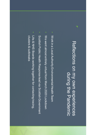#### Reflections on my own experiences Reflections on my own experiences during the Pandemic during the Pandemic

z

- Work in a Local Authority Environmental Health Team Work in a Local Authority Environmental Health Team
- We went almost entirely virtual from March 2020 Lockdown We went almost entirely virtual from March 2020 Lockdown
- Scottish Public Health Response lead via Scottish Government Scottish Public Health Response lead via Scottish Government

▪

▪ LAs & NHS Boards working together for contacting tracing clusters & outbreaks clusters & outbreaks LAs & NHS Boards working together for contacting tracing,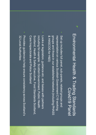#### Environmental Health & Trading Standards Environmental Health & Trading Standards Covid19 Panel Covid19 Panel

z

- Set up includes full panel, sub-panels, related groups and groups and those in our established networks (including PHASS & HASCOG for H&S) representation on various Scottish Government C19 working & HASCOG for H&S) groups and those in our established networks (including PHASS representation on various Scottish Government C19 working Set up includes full panel, sub-panels, related groups and
- Looks at legislation, guidance etc. and liaises with partners Scotland, Health & Safety Executive, Food Standards Scotland, Care Inspectorate and Police Scotland Care Inspectorate and Police Scotland Scotland, Health & Safety Executive, Food Standards Scotland, including for example: Scottish Government, Public Health including for example: Scottish Government, Public Health Looks at legislation, guidance etc. and liaises with partners
- 32 Local Authorities Provides guidance to help ensure consistency across Scotland's 32 Local Authorities Provides guidance to help ensure consistency across Scotland's

▪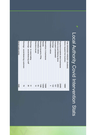# Local Authority Covid Intervention Stats Local Authority Covid Intervention Stats

| Total 26/03/2020-14/05/2021 (Scotland) |                 |
|----------------------------------------|-----------------|
| Advice requests from business          | 18868           |
| Enquiries/complaints about businesses  | 20469           |
| Advice issued following above          | 2803            |
| Complaint substantiated                | 707             |
| Warnings                               | $\overline{22}$ |
| <b>Prohibition notices</b>             | 4               |
|                                        |                 |
| Interventions to businesses            | 36942           |
| Revisits                               | 13559           |
| Warnings issued inc<br>FPNs            | 1346            |
| <b>Prohibition notices</b>             | ස               |
| Directions issued                      | $\vec{0}$       |
|                                        |                 |
| Warnings - to cease trading            | 31              |
| Warnings - social distancing staff     | 26              |
| Warnings - social distancing customers | 29              |
|                                        |                 |
| Social media activity                  | 3426            |